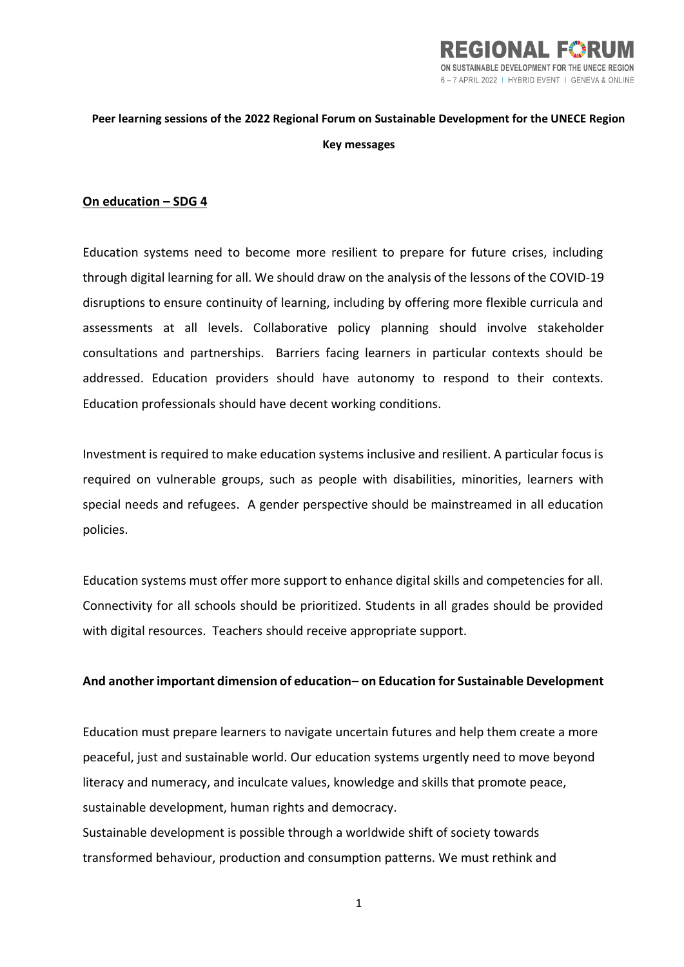

# **Peer learning sessions of the 2022 Regional Forum on Sustainable Development for the UNECE Region Key messages**

## **On education – SDG 4**

Education systems need to become more resilient to prepare for future crises, including through digital learning for all. We should draw on the analysis of the lessons of the COVID-19 disruptions to ensure continuity of learning, including by offering more flexible curricula and assessments at all levels. Collaborative policy planning should involve stakeholder consultations and partnerships. Barriers facing learners in particular contexts should be addressed. Education providers should have autonomy to respond to their contexts. Education professionals should have decent working conditions.

Investment is required to make education systems inclusive and resilient. A particular focus is required on vulnerable groups, such as people with disabilities, minorities, learners with special needs and refugees. A gender perspective should be mainstreamed in all education policies.

Education systems must offer more support to enhance digital skills and competencies for all. Connectivity for all schools should be prioritized. Students in all grades should be provided with digital resources. Teachers should receive appropriate support.

#### **And another important dimension of education– on Education for Sustainable Development**

Education must prepare learners to navigate uncertain futures and help them create a more peaceful, just and sustainable world. Our education systems urgently need to move beyond literacy and numeracy, and inculcate values, knowledge and skills that promote peace, sustainable development, human rights and democracy.

Sustainable development is possible through a worldwide shift of society towards transformed behaviour, production and consumption patterns. We must rethink and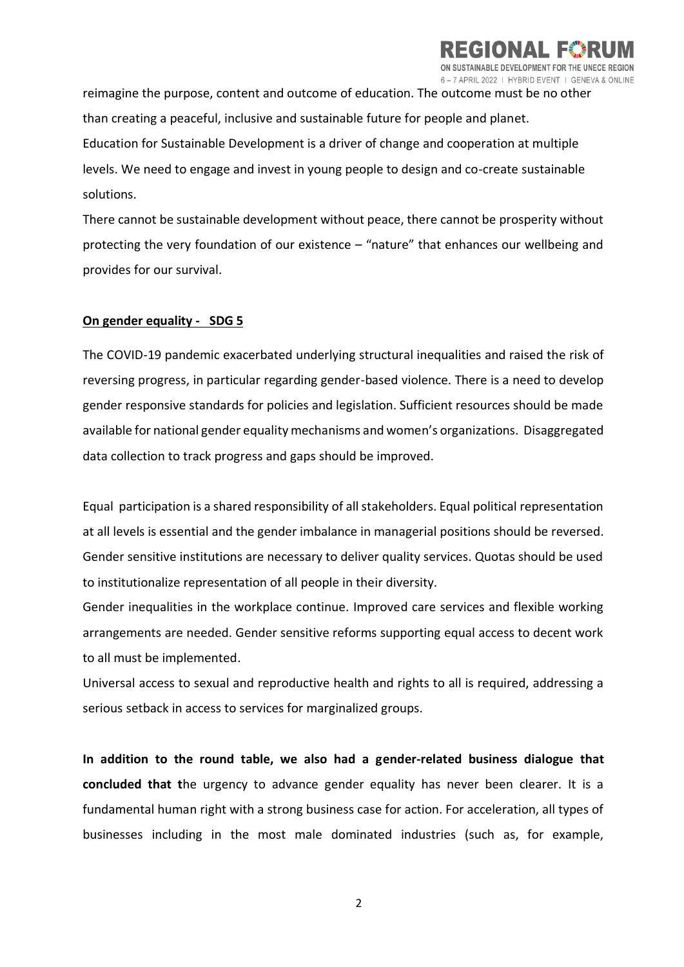# EGIONAL E 6 - 7 APRIL 2022 | HYBRID EVENT | GENEVA & ONLINE

reimagine the purpose, content and outcome of education. The outcome must be no other than creating a peaceful, inclusive and sustainable future for people and planet. Education for Sustainable Development is a driver of change and cooperation at multiple levels. We need to engage and invest in young people to design and co-create sustainable solutions.

There cannot be sustainable development without peace, there cannot be prosperity without protecting the very foundation of our existence – "nature" that enhances our wellbeing and provides for our survival.

# **On gender equality - SDG 5**

The COVID-19 pandemic exacerbated underlying structural inequalities and raised the risk of reversing progress, in particular regarding gender-based violence. There is a need to develop gender responsive standards for policies and legislation. Sufficient resources should be made available for national gender equality mechanisms and women's organizations. Disaggregated data collection to track progress and gaps should be improved.

Equal participation is a shared responsibility of all stakeholders. Equal political representation at all levels is essential and the gender imbalance in managerial positions should be reversed. Gender sensitive institutions are necessary to deliver quality services. Quotas should be used to institutionalize representation of all people in their diversity.

Gender inequalities in the workplace continue. Improved care services and flexible working arrangements are needed. Gender sensitive reforms supporting equal access to decent work to all must be implemented.

Universal access to sexual and reproductive health and rights to all is required, addressing a serious setback in access to services for marginalized groups.

**In addition to the round table, we also had a gender-related business dialogue that concluded that t**he urgency to advance gender equality has never been clearer. It is a fundamental human right with a strong business case for action. For acceleration, all types of businesses including in the most male dominated industries (such as, for example,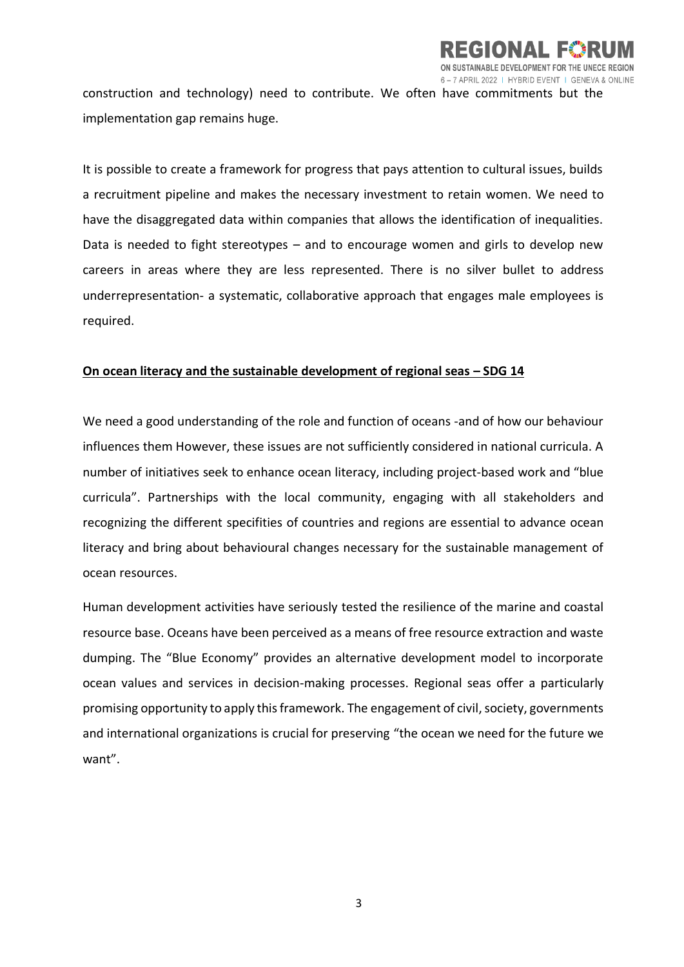

construction and technology) need to contribute. We often have commitments but the implementation gap remains huge.

It is possible to create a framework for progress that pays attention to cultural issues, builds a recruitment pipeline and makes the necessary investment to retain women. We need to have the disaggregated data within companies that allows the identification of inequalities. Data is needed to fight stereotypes – and to encourage women and girls to develop new careers in areas where they are less represented. There is no silver bullet to address underrepresentation- a systematic, collaborative approach that engages male employees is required.

# **On ocean literacy and the sustainable development of regional seas – SDG 14**

We need a good understanding of the role and function of oceans -and of how our behaviour influences them However, these issues are not sufficiently considered in national curricula. A number of initiatives seek to enhance ocean literacy, including project-based work and "blue curricula". Partnerships with the local community, engaging with all stakeholders and recognizing the different specifities of countries and regions are essential to advance ocean literacy and bring about behavioural changes necessary for the sustainable management of ocean resources.

Human development activities have seriously tested the resilience of the marine and coastal resource base. Oceans have been perceived as a means of free resource extraction and waste dumping. The "Blue Economy" provides an alternative development model to incorporate ocean values and services in decision-making processes. Regional seas offer a particularly promising opportunity to apply this framework. The engagement of civil, society, governments and international organizations is crucial for preserving "the ocean we need for the future we want".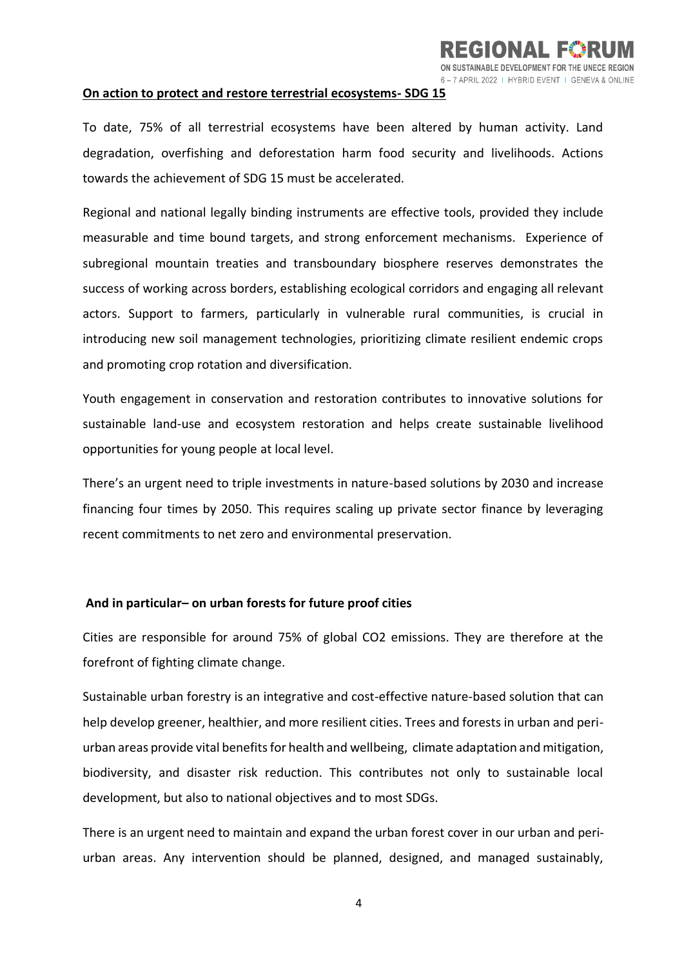

#### **On action to protect and restore terrestrial ecosystems- SDG 15**

To date, 75% of all terrestrial ecosystems have been altered by human activity. Land degradation, overfishing and deforestation harm food security and livelihoods. Actions towards the achievement of SDG 15 must be accelerated.

Regional and national legally binding instruments are effective tools, provided they include measurable and time bound targets, and strong enforcement mechanisms. Experience of subregional mountain treaties and transboundary biosphere reserves demonstrates the success of working across borders, establishing ecological corridors and engaging all relevant actors. Support to farmers, particularly in vulnerable rural communities, is crucial in introducing new soil management technologies, prioritizing climate resilient endemic crops and promoting crop rotation and diversification.

Youth engagement in conservation and restoration contributes to innovative solutions for sustainable land-use and ecosystem restoration and helps create sustainable livelihood opportunities for young people at local level.

There's an urgent need to triple investments in nature-based solutions by 2030 and increase financing four times by 2050. This requires scaling up private sector finance by leveraging recent commitments to net zero and environmental preservation.

#### **And in particular– on urban forests for future proof cities**

Cities are responsible for around 75% of global CO2 emissions. They are therefore at the forefront of fighting climate change.

Sustainable urban forestry is an integrative and cost-effective nature-based solution that can help develop greener, healthier, and more resilient cities. Trees and forests in urban and periurban areas provide vital benefits for health and wellbeing, climate adaptation and mitigation, biodiversity, and disaster risk reduction. This contributes not only to sustainable local development, but also to national objectives and to most SDGs.

There is an urgent need to maintain and expand the urban forest cover in our urban and periurban areas. Any intervention should be planned, designed, and managed sustainably,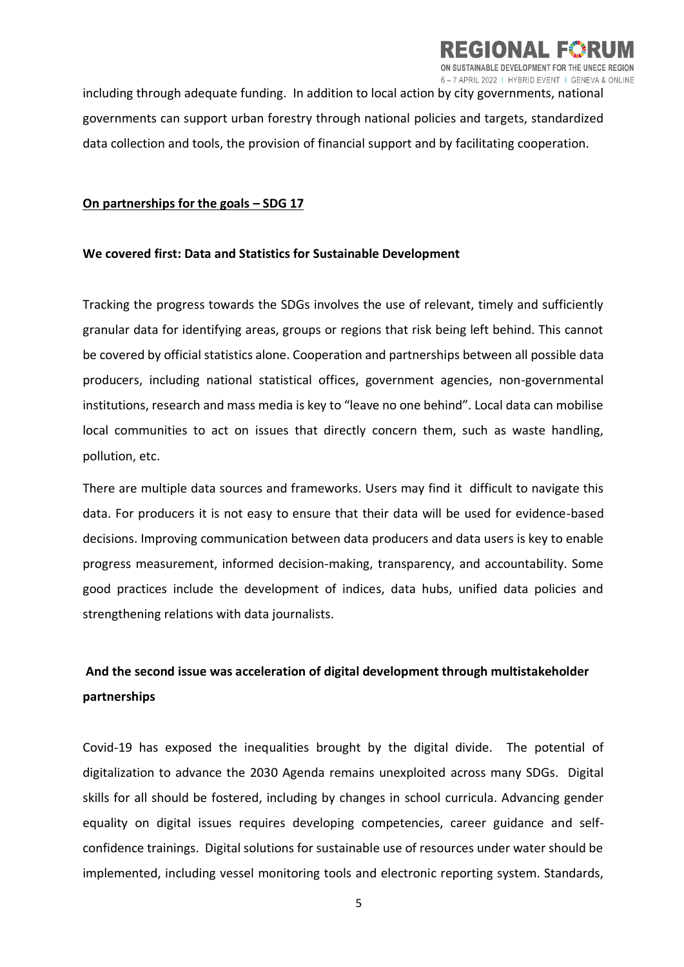

including through adequate funding. In addition to local action by city governments, national governments can support urban forestry through national policies and targets, standardized data collection and tools, the provision of financial support and by facilitating cooperation.

## **On partnerships for the goals – SDG 17**

## **We covered first: Data and Statistics for Sustainable Development**

Tracking the progress towards the SDGs involves the use of relevant, timely and sufficiently granular data for identifying areas, groups or regions that risk being left behind. This cannot be covered by official statistics alone. Cooperation and partnerships between all possible data producers, including national statistical offices, government agencies, non-governmental institutions, research and mass media is key to "leave no one behind". Local data can mobilise local communities to act on issues that directly concern them, such as waste handling, pollution, etc.

There are multiple data sources and frameworks. Users may find it difficult to navigate this data. For producers it is not easy to ensure that their data will be used for evidence-based decisions. Improving communication between data producers and data users is key to enable progress measurement, informed decision-making, transparency, and accountability. Some good practices include the development of indices, data hubs, unified data policies and strengthening relations with data journalists.

# **And the second issue was acceleration of digital development through multistakeholder partnerships**

Covid-19 has exposed the inequalities brought by the digital divide. The potential of digitalization to advance the 2030 Agenda remains unexploited across many SDGs. Digital skills for all should be fostered, including by changes in school curricula. Advancing gender equality on digital issues requires developing competencies, career guidance and selfconfidence trainings. Digital solutions for sustainable use of resources under water should be implemented, including vessel monitoring tools and electronic reporting system. Standards,